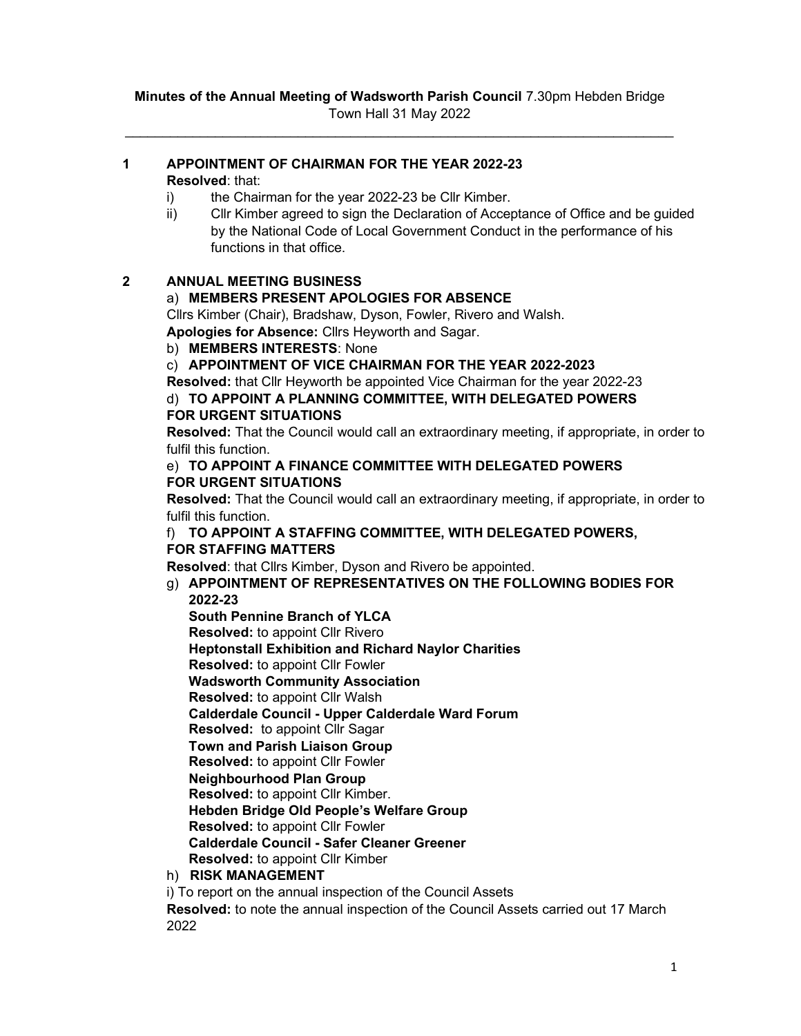### 1 APPOINTMENT OF CHAIRMAN FOR THE YEAR 2022-23 Resolved: that:

- i) the Chairman for the year 2022-23 be Cllr Kimber.
- ii) Cllr Kimber agreed to sign the Declaration of Acceptance of Office and be guided by the National Code of Local Government Conduct in the performance of his functions in that office.

# 2 ANNUAL MEETING BUSINESS

# a) MEMBERS PRESENT APOLOGIES FOR ABSENCE

Cllrs Kimber (Chair), Bradshaw, Dyson, Fowler, Rivero and Walsh.

Apologies for Absence: Cllrs Heyworth and Sagar.

b) MEMBERS INTERESTS: None

c) APPOINTMENT OF VICE CHAIRMAN FOR THE YEAR 2022-2023

Resolved: that Cllr Heyworth be appointed Vice Chairman for the year 2022-23

# d) TO APPOINT A PLANNING COMMITTEE, WITH DELEGATED POWERS FOR URGENT SITUATIONS

Resolved: That the Council would call an extraordinary meeting, if appropriate, in order to fulfil this function.

### e) TO APPOINT A FINANCE COMMITTEE WITH DELEGATED POWERS FOR URGENT SITUATIONS

Resolved: That the Council would call an extraordinary meeting, if appropriate, in order to fulfil this function.

## f) TO APPOINT A STAFFING COMMITTEE, WITH DELEGATED POWERS, FOR STAFFING MATTERS

Resolved: that Cllrs Kimber, Dyson and Rivero be appointed.

# g) APPOINTMENT OF REPRESENTATIVES ON THE FOLLOWING BODIES FOR 2022-23

South Pennine Branch of YLCA

Resolved: to appoint Cllr Rivero

Heptonstall Exhibition and Richard Naylor Charities

Resolved: to appoint Cllr Fowler

Wadsworth Community Association

Resolved: to appoint Cllr Walsh

Calderdale Council - Upper Calderdale Ward Forum

Resolved: to appoint Cllr Sagar

Town and Parish Liaison Group

Resolved: to appoint Cllr Fowler

Neighbourhood Plan Group

Resolved: to appoint Cllr Kimber.

Hebden Bridge Old People's Welfare Group

Resolved: to appoint Cllr Fowler

Calderdale Council - Safer Cleaner Greener

Resolved: to appoint Cllr Kimber

# h) RISK MANAGEMENT

i) To report on the annual inspection of the Council Assets

Resolved: to note the annual inspection of the Council Assets carried out 17 March 2022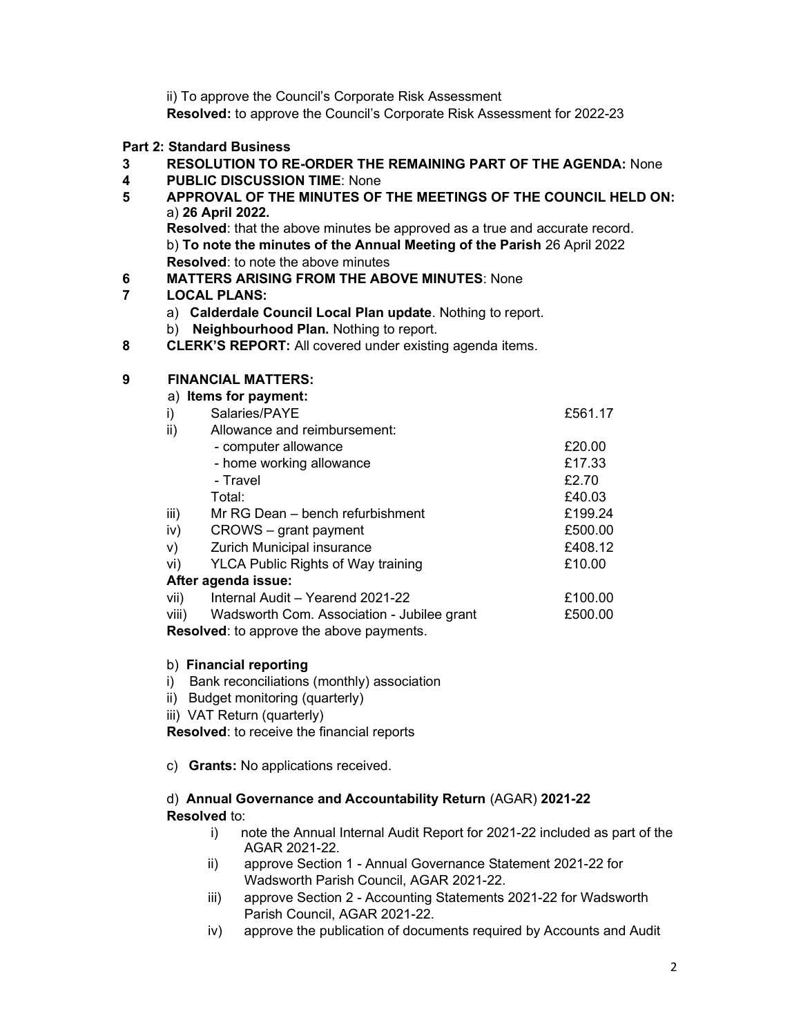ii) To approve the Council's Corporate Risk Assessment

Resolved: to approve the Council's Corporate Risk Assessment for 2022-23

# Part 2: Standard Business

- 3 RESOLUTION TO RE-ORDER THE REMAINING PART OF THE AGENDA: None
- 4 PUBLIC DISCUSSION TIME: None
- 5 APPROVAL OF THE MINUTES OF THE MEETINGS OF THE COUNCIL HELD ON: a) 26 April 2022. Resolved: that the above minutes be approved as a true and accurate record. b) To note the minutes of the Annual Meeting of the Parish 26 April 2022 Resolved: to note the above minutes
- 6 MATTERS ARISING FROM THE ABOVE MINUTES: None

# 7 LOCAL PLANS:

- a) Calderdale Council Local Plan update. Nothing to report.
- b) Neighbourhood Plan. Nothing to report.
- 8 **CLERK'S REPORT:** All covered under existing agenda items.

## 9 FINANCIAL MATTERS:

|       | a) Items for payment:                      |         |
|-------|--------------------------------------------|---------|
| i)    | Salaries/PAYE                              | £561.17 |
| ii)   | Allowance and reimbursement:               |         |
|       | - computer allowance                       | £20.00  |
|       | - home working allowance                   | £17.33  |
|       | - Travel                                   | £2.70   |
|       | Total:                                     | £40.03  |
| iii)  | Mr RG Dean – bench refurbishment           | £199.24 |
| iv)   | CROWS – grant payment                      | £500.00 |
| V)    | Zurich Municipal insurance                 | £408.12 |
| vi)   | <b>YLCA Public Rights of Way training</b>  | £10.00  |
|       | After agenda issue:                        |         |
| vii)  | Internal Audit - Yearend 2021-22           | £100.00 |
| viii) | Wadsworth Com. Association - Jubilee grant | £500.00 |
|       |                                            |         |

Resolved: to approve the above payments.

### b) Financial reporting

- i) Bank reconciliations (monthly) association
- ii) Budget monitoring (quarterly)
- iii) VAT Return (quarterly)

Resolved: to receive the financial reports

c) Grants: No applications received.

## d) Annual Governance and Accountability Return (AGAR) 2021-22 Resolved to:

- i) note the Annual Internal Audit Report for 2021-22 included as part of the AGAR 2021-22.
- ii) approve Section 1 Annual Governance Statement 2021-22 for Wadsworth Parish Council, AGAR 2021-22.
- iii) approve Section 2 Accounting Statements 2021-22 for Wadsworth Parish Council, AGAR 2021-22.
- iv) approve the publication of documents required by Accounts and Audit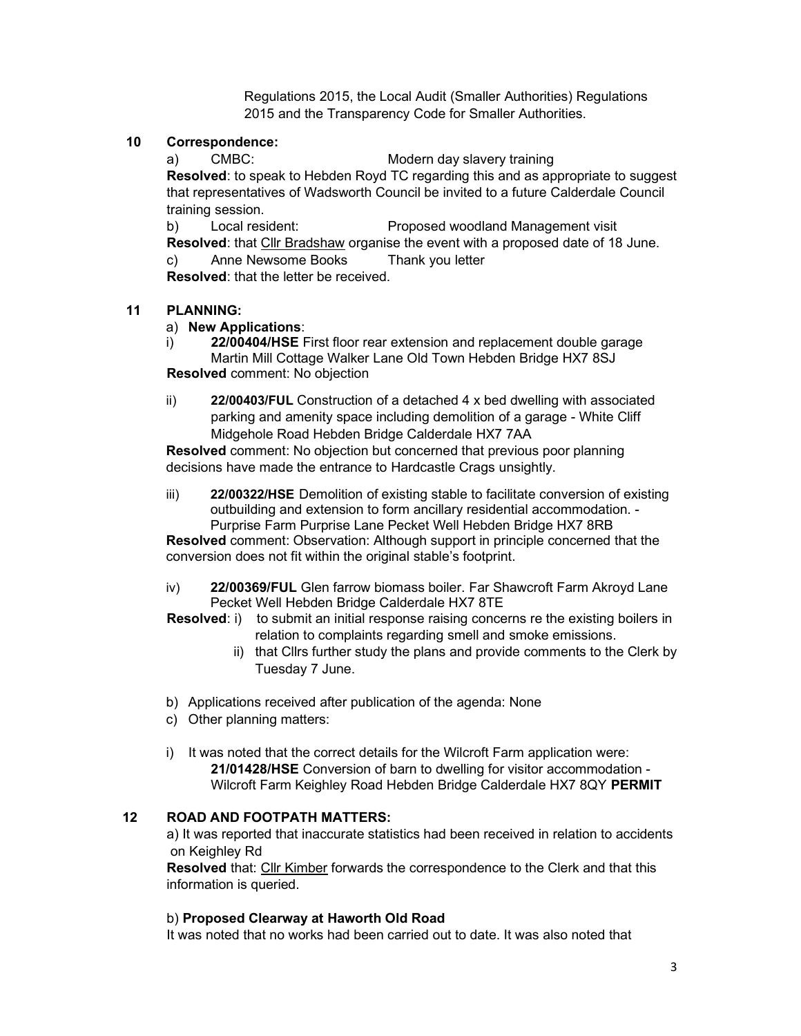Regulations 2015, the Local Audit (Smaller Authorities) Regulations 2015 and the Transparency Code for Smaller Authorities.

### 10 Correspondence:

a) CMBC: Modern day slavery training

Resolved: to speak to Hebden Royd TC regarding this and as appropriate to suggest that representatives of Wadsworth Council be invited to a future Calderdale Council training session.

b) Local resident: Proposed woodland Management visit Resolved: that Cllr Bradshaw organise the event with a proposed date of 18 June.

c) Anne Newsome Books Thank you letter

Resolved: that the letter be received.

## 11 PLANNING:

## a) New Applications:

- i) 22/00404/HSE First floor rear extension and replacement double garage Martin Mill Cottage Walker Lane Old Town Hebden Bridge HX7 8SJ Resolved comment: No objection
- ii) 22/00403/FUL Construction of a detached 4 x bed dwelling with associated parking and amenity space including demolition of a garage - White Cliff Midgehole Road Hebden Bridge Calderdale HX7 7AA

Resolved comment: No objection but concerned that previous poor planning decisions have made the entrance to Hardcastle Crags unsightly.

iii) 22/00322/HSE Demolition of existing stable to facilitate conversion of existing outbuilding and extension to form ancillary residential accommodation. - Purprise Farm Purprise Lane Pecket Well Hebden Bridge HX7 8RB

Resolved comment: Observation: Although support in principle concerned that the conversion does not fit within the original stable's footprint.

iv) 22/00369/FUL Glen farrow biomass boiler. Far Shawcroft Farm Akroyd Lane Pecket Well Hebden Bridge Calderdale HX7 8TE

**Resolved:** i) to submit an initial response raising concerns re the existing boilers in relation to complaints regarding smell and smoke emissions.

- ii) that Cllrs further study the plans and provide comments to the Clerk by Tuesday 7 June.
- b) Applications received after publication of the agenda: None
- c) Other planning matters:
- i) It was noted that the correct details for the Wilcroft Farm application were: 21/01428/HSE Conversion of barn to dwelling for visitor accommodation - Wilcroft Farm Keighley Road Hebden Bridge Calderdale HX7 8QY PERMIT

### 12 ROAD AND FOOTPATH MATTERS:

a) It was reported that inaccurate statistics had been received in relation to accidents on Keighley Rd

Resolved that: Cllr Kimber forwards the correspondence to the Clerk and that this information is queried.

### b) Proposed Clearway at Haworth Old Road

It was noted that no works had been carried out to date. It was also noted that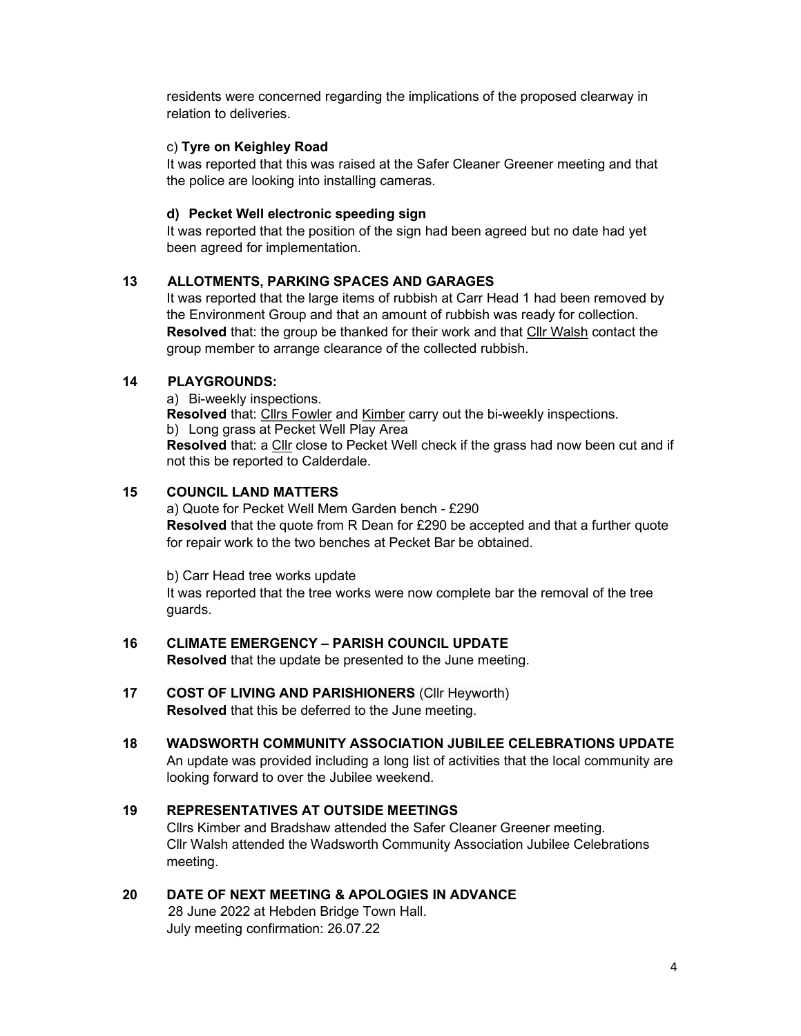residents were concerned regarding the implications of the proposed clearway in relation to deliveries.

### c) Tyre on Keighley Road

It was reported that this was raised at the Safer Cleaner Greener meeting and that the police are looking into installing cameras.

### d) Pecket Well electronic speeding sign

It was reported that the position of the sign had been agreed but no date had yet been agreed for implementation.

## 13 ALLOTMENTS, PARKING SPACES AND GARAGES

It was reported that the large items of rubbish at Carr Head 1 had been removed by the Environment Group and that an amount of rubbish was ready for collection. Resolved that: the group be thanked for their work and that Cllr Walsh contact the group member to arrange clearance of the collected rubbish.

# 14 PLAYGROUNDS:

a) Bi-weekly inspections.

Resolved that: Cllrs Fowler and Kimber carry out the bi-weekly inspections. b) Long grass at Pecket Well Play Area

Resolved that: a Cllr close to Pecket Well check if the grass had now been cut and if not this be reported to Calderdale.

# 15 COUNCIL LAND MATTERS

a) Quote for Pecket Well Mem Garden bench - £290 Resolved that the quote from R Dean for £290 be accepted and that a further quote for repair work to the two benches at Pecket Bar be obtained.

b) Carr Head tree works update

It was reported that the tree works were now complete bar the removal of the tree guards.

### 16 CLIMATE EMERGENCY – PARISH COUNCIL UPDATE

Resolved that the update be presented to the June meeting.

- 17 COST OF LIVING AND PARISHIONERS (Cllr Heyworth) Resolved that this be deferred to the June meeting.
- 18 WADSWORTH COMMUNITY ASSOCIATION JUBILEE CELEBRATIONS UPDATE An update was provided including a long list of activities that the local community are looking forward to over the Jubilee weekend.

# 19 REPRESENTATIVES AT OUTSIDE MEETINGS

Cllrs Kimber and Bradshaw attended the Safer Cleaner Greener meeting. Cllr Walsh attended the Wadsworth Community Association Jubilee Celebrations meeting.

## 20 DATE OF NEXT MEETING & APOLOGIES IN ADVANCE

28 June 2022 at Hebden Bridge Town Hall. July meeting confirmation: 26.07.22